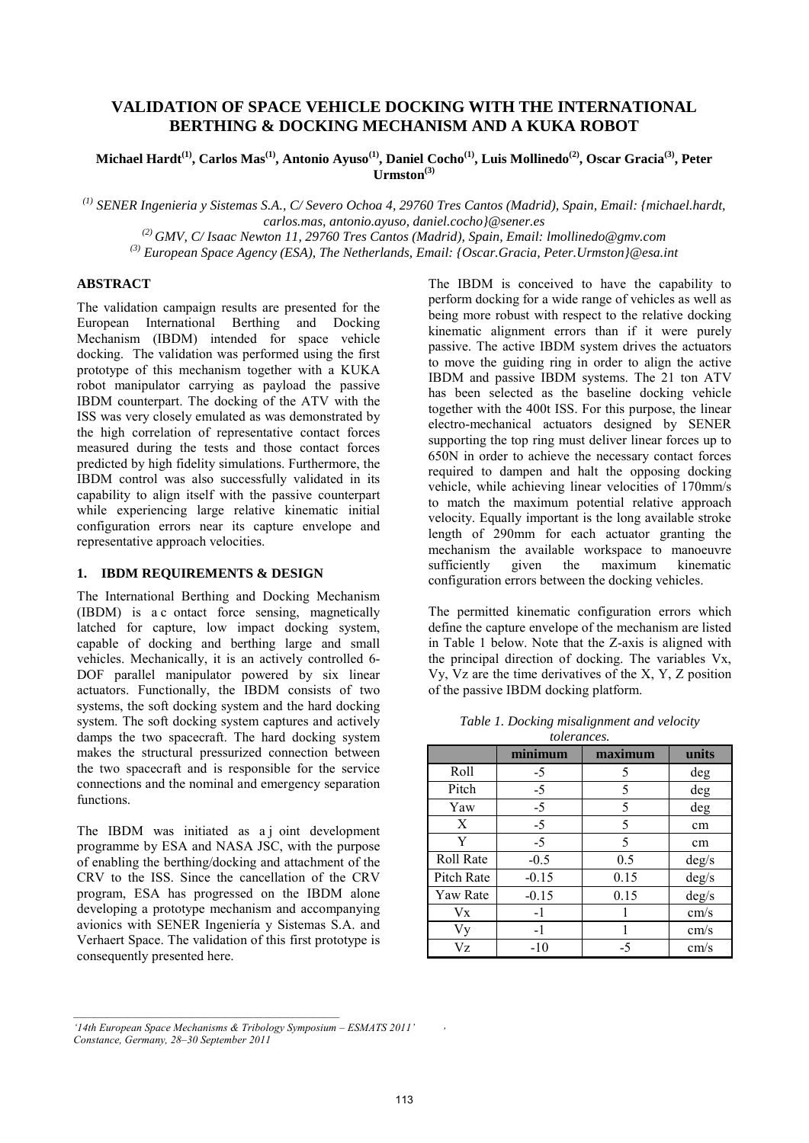# **VALIDATION OF SPACE VEHICLE DOCKING WITH THE INTERNATIONAL BERTHING & DOCKING MECHANISM AND A KUKA ROBOT**

**Michael Hardt(1), Carlos Mas(1), Antonio Ayuso(1), Daniel Cocho(1), Luis Mollinedo(2), Oscar Gracia(3), Peter**   $U$ rmston<sup>(3)</sup>

*(1) SENER Ingenieria y Sistemas S.A., C/ Severo Ochoa 4, 29760 Tres Cantos (Madrid), Spain, Email: {michael.hardt, carlos.mas, antonio.ayuso, daniel.cocho}@sener.es (2) GMV, C/ Isaac Newton 11, 29760 Tres Cantos (Madrid), Spain, Email: lmollinedo@gmv.com*

*(3) European Space Agency (ESA), The Netherlands, Email: {Oscar.Gracia, Peter.Urmston}@esa.int*

# **ABSTRACT**

The validation campaign results are presented for the European International Berthing and Docking Mechanism (IBDM) intended for space vehicle docking. The validation was performed using the first prototype of this mechanism together with a KUKA robot manipulator carrying as payload the passive IBDM counterpart. The docking of the ATV with the ISS was very closely emulated as was demonstrated by the high correlation of representative contact forces measured during the tests and those contact forces predicted by high fidelity simulations. Furthermore, the IBDM control was also successfully validated in its capability to align itself with the passive counterpart while experiencing large relative kinematic initial configuration errors near its capture envelope and representative approach velocities.

# **1. IBDM REQUIREMENTS & DESIGN**

The International Berthing and Docking Mechanism (IBDM) is a c ontact force sensing, magnetically latched for capture, low impact docking system, capable of docking and berthing large and small vehicles. Mechanically, it is an actively controlled 6- DOF parallel manipulator powered by six linear actuators. Functionally, the IBDM consists of two systems, the soft docking system and the hard docking system. The soft docking system captures and actively damps the two spacecraft. The hard docking system makes the structural pressurized connection between the two spacecraft and is responsible for the service connections and the nominal and emergency separation functions.

The IBDM was initiated as a joint development programme by ESA and NASA JSC, with the purpose of enabling the berthing/docking and attachment of the CRV to the ISS. Since the cancellation of the CRV program, ESA has progressed on the IBDM alone developing a prototype mechanism and accompanying avionics with SENER Ingeniería y Sistemas S.A. and Verhaert Space. The validation of this first prototype is consequently presented here.

The IBDM is conceived to have the capability to perform docking for a wide range of vehicles as well as being more robust with respect to the relative docking kinematic alignment errors than if it were purely passive. The active IBDM system drives the actuators to move the guiding ring in order to align the active IBDM and passive IBDM systems. The 21 ton ATV has been selected as the baseline docking vehicle together with the 400t ISS. For this purpose, the linear electro-mechanical actuators designed by SENER supporting the top ring must deliver linear forces up to 650N in order to achieve the necessary contact forces required to dampen and halt the opposing docking vehicle, while achieving linear velocities of 170mm/s to match the maximum potential relative approach velocity. Equally important is the long available stroke length of 290mm for each actuator granting the mechanism the available workspace to manoeuvre<br>sufficiently given the maximum kinematic maximum configuration errors between the docking vehicles.

The permitted kinematic configuration errors which define the capture envelope of the mechanism are listed in Table 1 below. Note that the Z-axis is aligned with the principal direction of docking. The variables Vx, Vy, Vz are the time derivatives of the X, Y, Z position of the passive IBDM docking platform.

|                  | minimum | maximum | units          |
|------------------|---------|---------|----------------|
| Roll             | $-5$    | 5       | deg            |
| Pitch            | $-5$    | 5       | deg            |
| Yaw              | $-5$    | 5       | deg            |
| X                | $-5$    | 5       | cm             |
| Y                | $-5$    | 5       | cm             |
| <b>Roll Rate</b> | $-0.5$  | 0.5     | $\text{deg/s}$ |
| Pitch Rate       | $-0.15$ | 0.15    | deg/s          |
| Yaw Rate         | $-0.15$ | 0.15    | deg/s          |
| Vx               | $-1$    |         | cm/s           |
| Vy               | $-1$    |         | cm/s           |
| Vz               | $-10$   | -5      | cm/s           |

*\_\_\_\_\_\_\_\_\_\_\_\_\_\_\_\_\_\_\_\_\_\_\_\_\_\_\_\_\_\_\_\_\_\_\_\_\_\_\_\_\_\_\_\_\_\_\_\_\_*

*'*

*<sup>&#</sup>x27;14th European Space Mechanisms & Tribology Symposium – ESMATS 2011'* 

*Constance, Germany, 28–30 September 2011*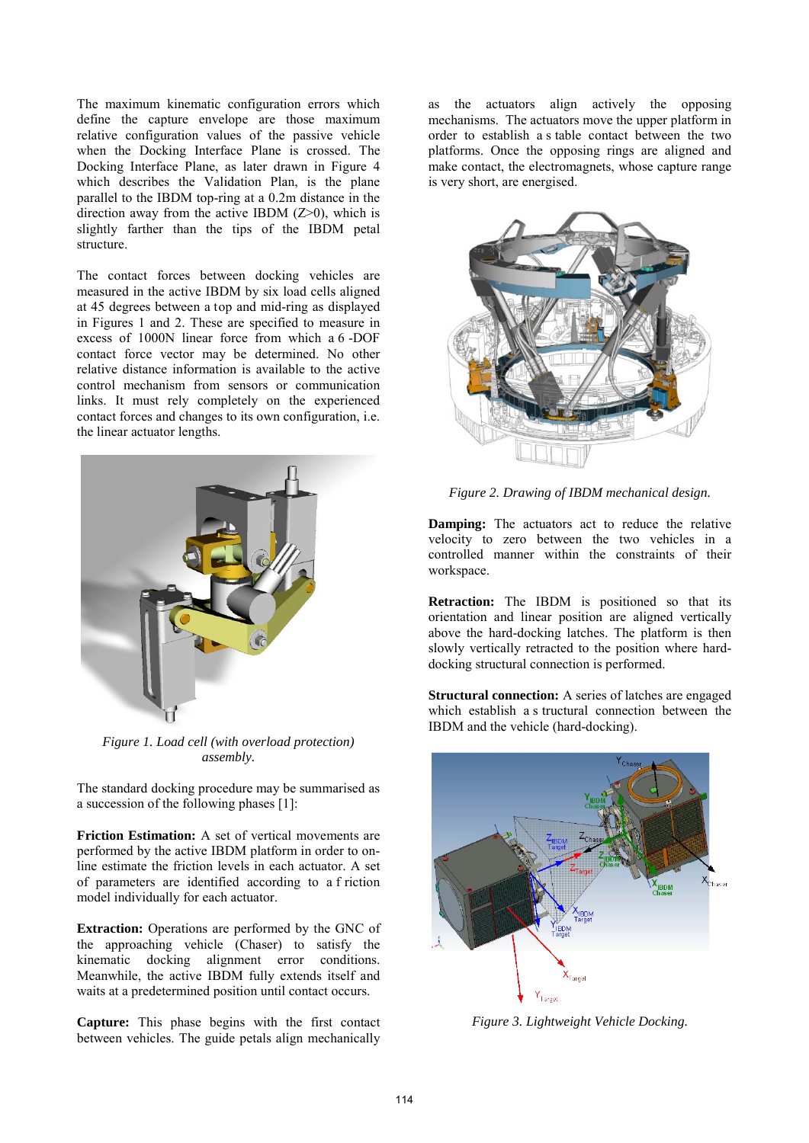The maximum kinematic configuration errors which define the capture envelope are those maximum relative configuration values of the passive vehicle when the Docking Interface Plane is crossed. The Docking Interface Plane, as later drawn in Figure 4 which describes the Validation Plan, is the plane parallel to the IBDM top-ring at a 0.2m distance in the direction away from the active IBDM  $(Z>0)$ , which is slightly farther than the tips of the IBDM petal structure.

The contact forces between docking vehicles are measured in the active IBDM by six load cells aligned at 45 degrees between a top and mid-ring as displayed in Figures 1 and 2. These are specified to measure in excess of 1000N linear force from which a 6 -DOF contact force vector may be determined. No other relative distance information is available to the active control mechanism from sensors or communication links. It must rely completely on the experienced contact forces and changes to its own configuration, i.e. the linear actuator lengths.



*Figure 1. Load cell (with overload protection) assembly.*

The standard docking procedure may be summarised as a succession of the following phases [1]:

**Friction Estimation:** A set of vertical movements are performed by the active IBDM platform in order to online estimate the friction levels in each actuator. A set of parameters are identified according to a f riction model individually for each actuator.

**Extraction:** Operations are performed by the GNC of the approaching vehicle (Chaser) to satisfy the kinematic docking alignment error conditions. Meanwhile, the active IBDM fully extends itself and waits at a predetermined position until contact occurs.

**Capture:** This phase begins with the first contact between vehicles. The guide petals align mechanically as the actuators align actively the opposing mechanisms. The actuators move the upper platform in order to establish a s table contact between the two platforms. Once the opposing rings are aligned and make contact, the electromagnets, whose capture range is very short, are energised.



*Figure 2. Drawing of IBDM mechanical design.*

**Damping:** The actuators act to reduce the relative velocity to zero between the two vehicles in a controlled manner within the constraints of their workspace.

**Retraction:** The IBDM is positioned so that its orientation and linear position are aligned vertically above the hard-docking latches. The platform is then slowly vertically retracted to the position where harddocking structural connection is performed.

**Structural connection:** A series of latches are engaged which establish a s tructural connection between the IBDM and the vehicle (hard-docking).



*Figure 3. Lightweight Vehicle Docking.*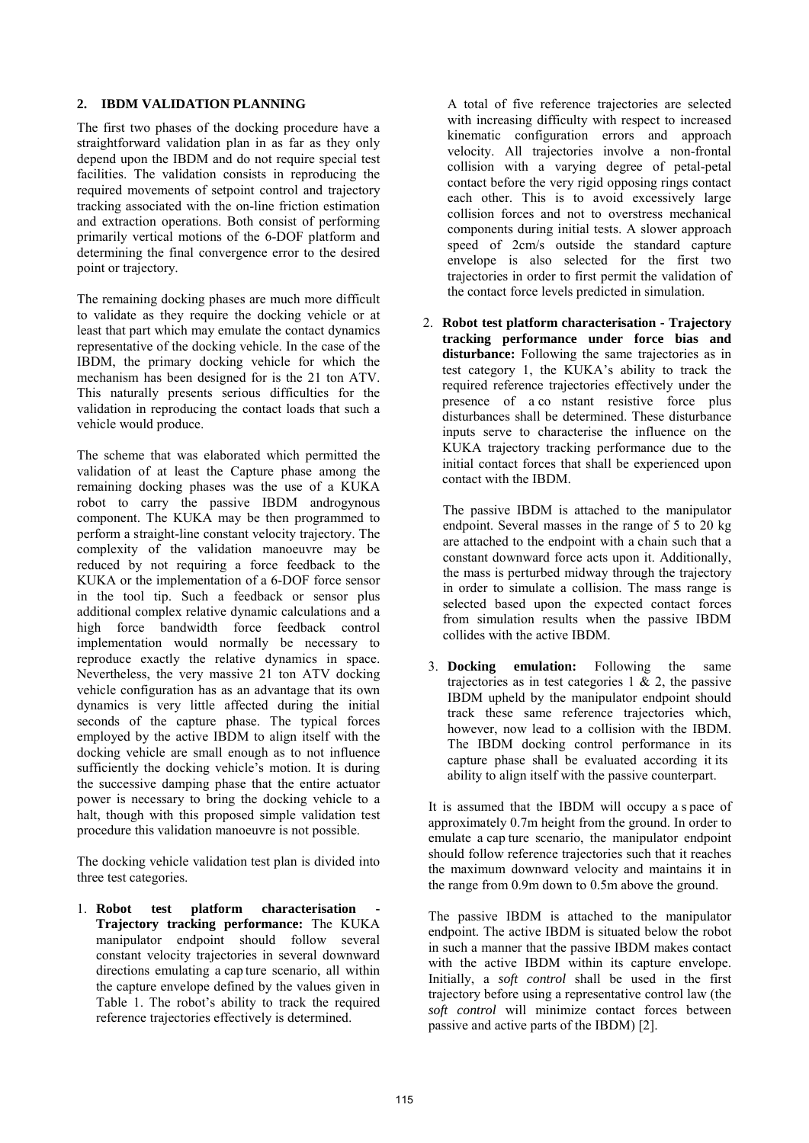### **2. IBDM VALIDATION PLANNING**

The first two phases of the docking procedure have a straightforward validation plan in as far as they only depend upon the IBDM and do not require special test facilities. The validation consists in reproducing the required movements of setpoint control and trajectory tracking associated with the on-line friction estimation and extraction operations. Both consist of performing primarily vertical motions of the 6-DOF platform and determining the final convergence error to the desired point or trajectory.

The remaining docking phases are much more difficult to validate as they require the docking vehicle or at least that part which may emulate the contact dynamics representative of the docking vehicle. In the case of the IBDM, the primary docking vehicle for which the mechanism has been designed for is the 21 ton ATV. This naturally presents serious difficulties for the validation in reproducing the contact loads that such a vehicle would produce.

The scheme that was elaborated which permitted the validation of at least the Capture phase among the remaining docking phases was the use of a KUKA robot to carry the passive IBDM androgynous component. The KUKA may be then programmed to perform a straight-line constant velocity trajectory. The complexity of the validation manoeuvre may be reduced by not requiring a force feedback to the KUKA or the implementation of a 6-DOF force sensor in the tool tip. Such a feedback or sensor plus additional complex relative dynamic calculations and a high force bandwidth force feedback control implementation would normally be necessary to reproduce exactly the relative dynamics in space. Nevertheless, the very massive 21 ton ATV docking vehicle configuration has as an advantage that its own dynamics is very little affected during the initial seconds of the capture phase. The typical forces employed by the active IBDM to align itself with the docking vehicle are small enough as to not influence sufficiently the docking vehicle's motion. It is during the successive damping phase that the entire actuator power is necessary to bring the docking vehicle to a halt, though with this proposed simple validation test procedure this validation manoeuvre is not possible.

The docking vehicle validation test plan is divided into three test categories.

1. **Robot** test platform characterisation **Trajectory tracking performance:** The KUKA manipulator endpoint should follow several constant velocity trajectories in several downward directions emulating a cap ture scenario, all within the capture envelope defined by the values given in Table 1. The robot's ability to track the required reference trajectories effectively is determined.

A total of five reference trajectories are selected with increasing difficulty with respect to increased kinematic configuration errors and approach velocity. All trajectories involve a non-frontal collision with a varying degree of petal-petal contact before the very rigid opposing rings contact each other. This is to avoid excessively large collision forces and not to overstress mechanical components during initial tests. A slower approach speed of 2cm/s outside the standard capture envelope is also selected for the first two trajectories in order to first permit the validation of the contact force levels predicted in simulation.

2. **Robot test platform characterisation - Trajectory tracking performance under force bias and disturbance:** Following the same trajectories as in test category 1, the KUKA's ability to track the required reference trajectories effectively under the presence of a co nstant resistive force plus disturbances shall be determined. These disturbance inputs serve to characterise the influence on the KUKA trajectory tracking performance due to the initial contact forces that shall be experienced upon contact with the IBDM.

The passive IBDM is attached to the manipulator endpoint. Several masses in the range of 5 to 20 kg are attached to the endpoint with a chain such that a constant downward force acts upon it. Additionally, the mass is perturbed midway through the trajectory in order to simulate a collision. The mass range is selected based upon the expected contact forces from simulation results when the passive IBDM collides with the active IBDM.

3. **Docking emulation:** Following the same trajectories as in test categories  $1 \& 2$ , the passive IBDM upheld by the manipulator endpoint should track these same reference trajectories which, however, now lead to a collision with the IBDM. The IBDM docking control performance in its capture phase shall be evaluated according it its ability to align itself with the passive counterpart.

It is assumed that the IBDM will occupy a s pace of approximately 0.7m height from the ground. In order to emulate a cap ture scenario, the manipulator endpoint should follow reference trajectories such that it reaches the maximum downward velocity and maintains it in the range from 0.9m down to 0.5m above the ground.

The passive IBDM is attached to the manipulator endpoint. The active IBDM is situated below the robot in such a manner that the passive IBDM makes contact with the active IBDM within its capture envelope. Initially, a *soft control* shall be used in the first trajectory before using a representative control law (the *soft control* will minimize contact forces between passive and active parts of the IBDM) [2].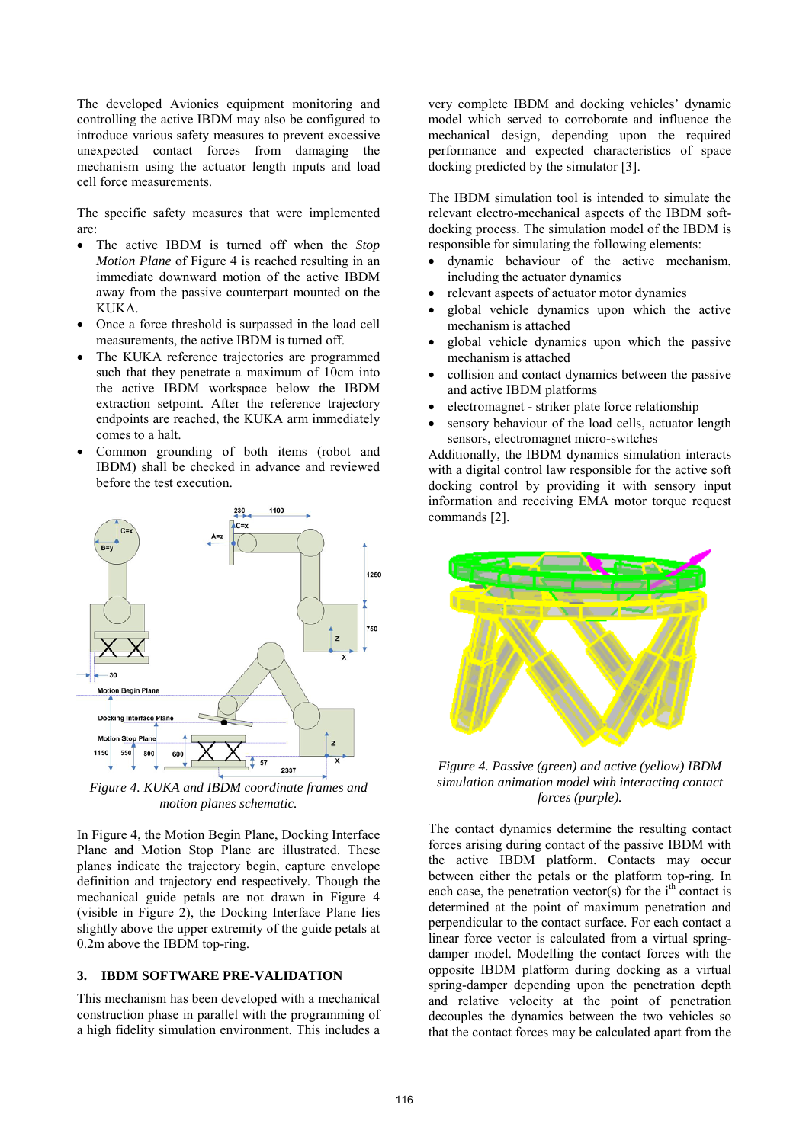The developed Avionics equipment monitoring and controlling the active IBDM may also be configured to introduce various safety measures to prevent excessive unexpected contact forces from damaging the mechanism using the actuator length inputs and load cell force measurements.

The specific safety measures that were implemented are:

- The active IBDM is turned off when the *Stop Motion Plane* of Figure 4 is reached resulting in an immediate downward motion of the active IBDM away from the passive counterpart mounted on the KUKA.
- Once a force threshold is surpassed in the load cell measurements, the active IBDM is turned off.
- The KUKA reference trajectories are programmed such that they penetrate a maximum of 10cm into the active IBDM workspace below the IBDM extraction setpoint. After the reference trajectory endpoints are reached, the KUKA arm immediately comes to a halt.
- Common grounding of both items (robot and IBDM) shall be checked in advance and reviewed before the test execution.



*Figure 4. KUKA and IBDM coordinate frames and motion planes schematic.*

In Figure 4, the Motion Begin Plane, Docking Interface Plane and Motion Stop Plane are illustrated. These planes indicate the trajectory begin, capture envelope definition and trajectory end respectively. Though the mechanical guide petals are not drawn in Figure 4 (visible in Figure 2), the Docking Interface Plane lies slightly above the upper extremity of the guide petals at 0.2m above the IBDM top-ring.

### **3. IBDM SOFTWARE PRE-VALIDATION**

This mechanism has been developed with a mechanical construction phase in parallel with the programming of a high fidelity simulation environment. This includes a

very complete IBDM and docking vehicles' dynamic model which served to corroborate and influence the mechanical design, depending upon the required performance and expected characteristics of space docking predicted by the simulator [3].

The IBDM simulation tool is intended to simulate the relevant electro-mechanical aspects of the IBDM softdocking process. The simulation model of the IBDM is responsible for simulating the following elements:

- dynamic behaviour of the active mechanism, including the actuator dynamics
- relevant aspects of actuator motor dynamics
- global vehicle dynamics upon which the active mechanism is attached
- global vehicle dynamics upon which the passive mechanism is attached
- collision and contact dynamics between the passive and active IBDM platforms
- electromagnet striker plate force relationship
- sensory behaviour of the load cells, actuator length sensors, electromagnet micro-switches

Additionally, the IBDM dynamics simulation interacts with a digital control law responsible for the active soft docking control by providing it with sensory input information and receiving EMA motor torque request commands [2].



*Figure 4. Passive (green) and active (yellow) IBDM simulation animation model with interacting contact forces (purple).*

The contact dynamics determine the resulting contact forces arising during contact of the passive IBDM with the active IBDM platform. Contacts may occur between either the petals or the platform top-ring. In each case, the penetration vector(s) for the  $i<sup>th</sup>$  contact is determined at the point of maximum penetration and perpendicular to the contact surface. For each contact a linear force vector is calculated from a virtual springdamper model. Modelling the contact forces with the opposite IBDM platform during docking as a virtual spring-damper depending upon the penetration depth and relative velocity at the point of penetration decouples the dynamics between the two vehicles so that the contact forces may be calculated apart from the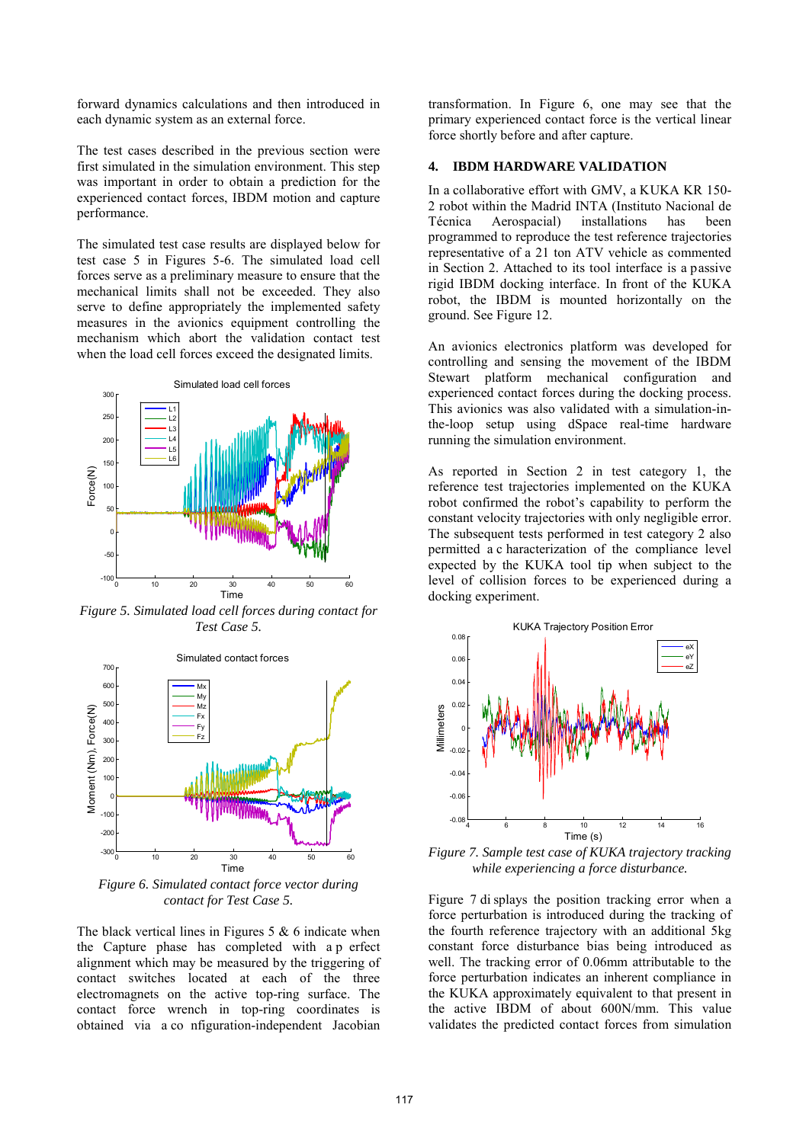forward dynamics calculations and then introduced in each dynamic system as an external force.

The test cases described in the previous section were first simulated in the simulation environment. This step was important in order to obtain a prediction for the experienced contact forces, IBDM motion and capture performance.

The simulated test case results are displayed below for test case 5 in Figures 5-6. The simulated load cell forces serve as a preliminary measure to ensure that the mechanical limits shall not be exceeded. They also serve to define appropriately the implemented safety measures in the avionics equipment controlling the mechanism which abort the validation contact test when the load cell forces exceed the designated limits.



*Figure 5. Simulated load cell forces during contact for Test Case 5.*



*Figure 6. Simulated contact force vector during contact for Test Case 5.*

The black vertical lines in Figures  $5 \& 6$  indicate when the Capture phase has completed with a p erfect alignment which may be measured by the triggering of contact switches located at each of the three electromagnets on the active top-ring surface. The contact force wrench in top-ring coordinates is obtained via a co nfiguration-independent Jacobian

transformation. In Figure 6, one may see that the primary experienced contact force is the vertical linear force shortly before and after capture.

#### **4. IBDM HARDWARE VALIDATION**

In a collaborative effort with GMV, a KUKA KR 150- 2 robot within the Madrid INTA (Instituto Nacional de Técnica Aerospacial) installations has been programmed to reproduce the test reference trajectories representative of a 21 ton ATV vehicle as commented in Section 2. Attached to its tool interface is a passive rigid IBDM docking interface. In front of the KUKA robot, the IBDM is mounted horizontally on the ground. See Figure 12.

An avionics electronics platform was developed for controlling and sensing the movement of the IBDM Stewart platform mechanical configuration and experienced contact forces during the docking process. This avionics was also validated with a simulation-inthe-loop setup using dSpace real-time hardware running the simulation environment.

As reported in Section 2 in test category 1, the reference test trajectories implemented on the KUKA robot confirmed the robot's capability to perform the constant velocity trajectories with only negligible error. The subsequent tests performed in test category 2 also permitted a c haracterization of the compliance level expected by the KUKA tool tip when subject to the level of collision forces to be experienced during a docking experiment.



*Figure 7. Sample test case of KUKA trajectory tracking while experiencing a force disturbance.*

Figure 7 di splays the position tracking error when a force perturbation is introduced during the tracking of the fourth reference trajectory with an additional 5kg constant force disturbance bias being introduced as well. The tracking error of 0.06mm attributable to the force perturbation indicates an inherent compliance in the KUKA approximately equivalent to that present in the active IBDM of about 600N/mm. This value validates the predicted contact forces from simulation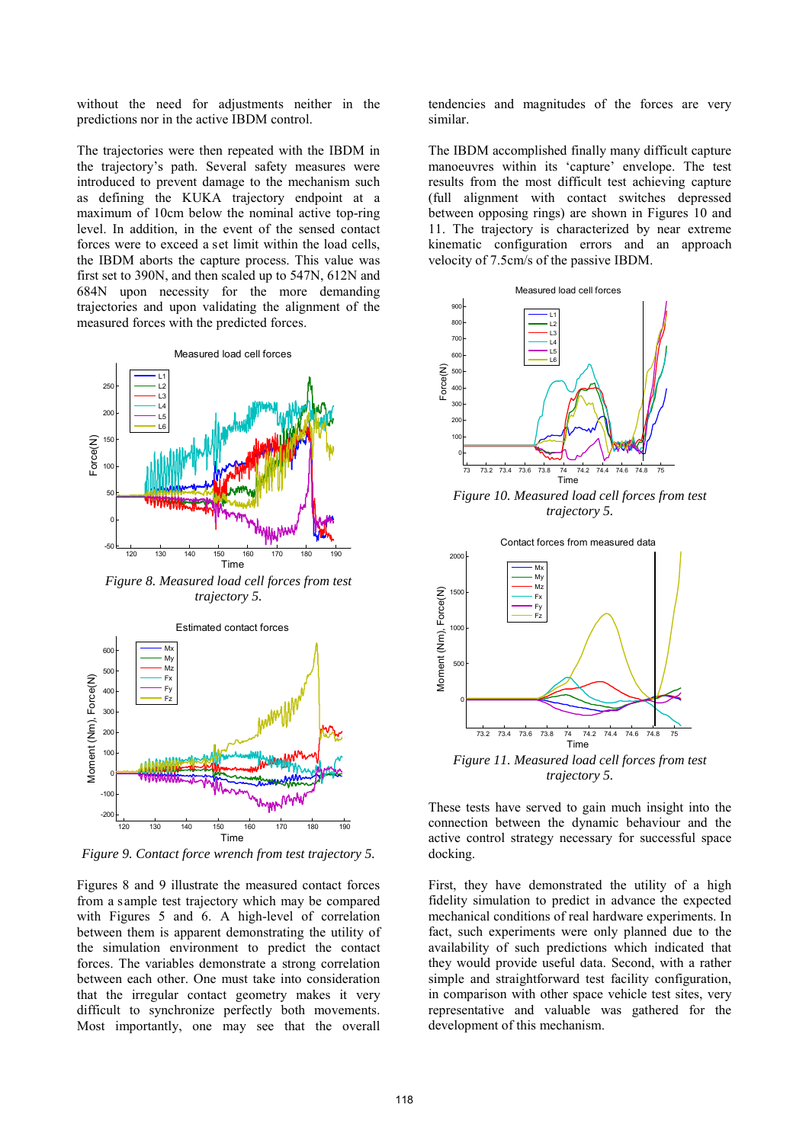without the need for adjustments neither in the predictions nor in the active IBDM control.

The trajectories were then repeated with the IBDM in the trajectory's path. Several safety measures were introduced to prevent damage to the mechanism such as defining the KUKA trajectory endpoint at a maximum of 10cm below the nominal active top-ring level. In addition, in the event of the sensed contact forces were to exceed a set limit within the load cells, the IBDM aborts the capture process. This value was first set to 390N, and then scaled up to 547N, 612N and 684N upon necessity for the more demanding trajectories and upon validating the alignment of the measured forces with the predicted forces.



*Figure 8. Measured load cell forces from test trajectory 5.*



*Figure 9. Contact force wrench from test trajectory 5.*

Figures 8 and 9 illustrate the measured contact forces from a sample test trajectory which may be compared with Figures 5 and 6. A high-level of correlation between them is apparent demonstrating the utility of the simulation environment to predict the contact forces. The variables demonstrate a strong correlation between each other. One must take into consideration that the irregular contact geometry makes it very difficult to synchronize perfectly both movements. Most importantly, one may see that the overall

tendencies and magnitudes of the forces are very similar.

The IBDM accomplished finally many difficult capture manoeuvres within its 'capture' envelope. The test results from the most difficult test achieving capture (full alignment with contact switches depressed between opposing rings) are shown in Figures 10 and 11. The trajectory is characterized by near extreme kinematic configuration errors and an approach velocity of 7.5cm/s of the passive IBDM.



*Figure 10. Measured load cell forces from test trajectory 5.*



*trajectory 5.*

These tests have served to gain much insight into the connection between the dynamic behaviour and the active control strategy necessary for successful space docking.

First, they have demonstrated the utility of a high fidelity simulation to predict in advance the expected mechanical conditions of real hardware experiments. In fact, such experiments were only planned due to the availability of such predictions which indicated that they would provide useful data. Second, with a rather simple and straightforward test facility configuration, in comparison with other space vehicle test sites, very representative and valuable was gathered for the development of this mechanism.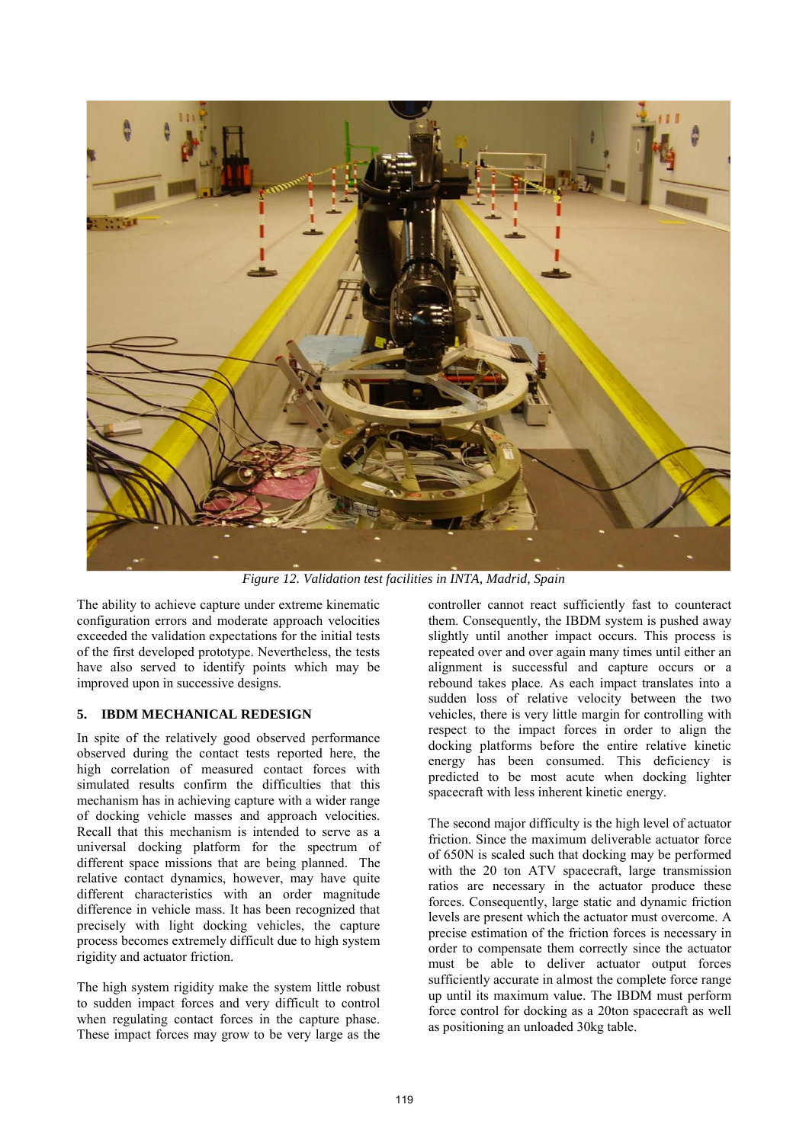

*Figure 12. Validation test facilities in INTA, Madrid, Spain*

The ability to achieve capture under extreme kinematic configuration errors and moderate approach velocities exceeded the validation expectations for the initial tests of the first developed prototype. Nevertheless, the tests have also served to identify points which may be improved upon in successive designs.

# **5. IBDM MECHANICAL REDESIGN**

In spite of the relatively good observed performance observed during the contact tests reported here, the high correlation of measured contact forces with simulated results confirm the difficulties that this mechanism has in achieving capture with a wider range of docking vehicle masses and approach velocities. Recall that this mechanism is intended to serve as a universal docking platform for the spectrum of different space missions that are being planned. The relative contact dynamics, however, may have quite different characteristics with an order magnitude difference in vehicle mass. It has been recognized that precisely with light docking vehicles, the capture process becomes extremely difficult due to high system rigidity and actuator friction.

The high system rigidity make the system little robust to sudden impact forces and very difficult to control when regulating contact forces in the capture phase. These impact forces may grow to be very large as the

controller cannot react sufficiently fast to counteract them. Consequently, the IBDM system is pushed away slightly until another impact occurs. This process is repeated over and over again many times until either an alignment is successful and capture occurs or a rebound takes place. As each impact translates into a sudden loss of relative velocity between the two vehicles, there is very little margin for controlling with respect to the impact forces in order to align the docking platforms before the entire relative kinetic energy has been consumed. This deficiency is predicted to be most acute when docking lighter spacecraft with less inherent kinetic energy.

The second major difficulty is the high level of actuator friction. Since the maximum deliverable actuator force of 650N is scaled such that docking may be performed with the 20 ton ATV spacecraft, large transmission ratios are necessary in the actuator produce these forces. Consequently, large static and dynamic friction levels are present which the actuator must overcome. A precise estimation of the friction forces is necessary in order to compensate them correctly since the actuator must be able to deliver actuator output forces sufficiently accurate in almost the complete force range up until its maximum value. The IBDM must perform force control for docking as a 20ton spacecraft as well as positioning an unloaded 30kg table.